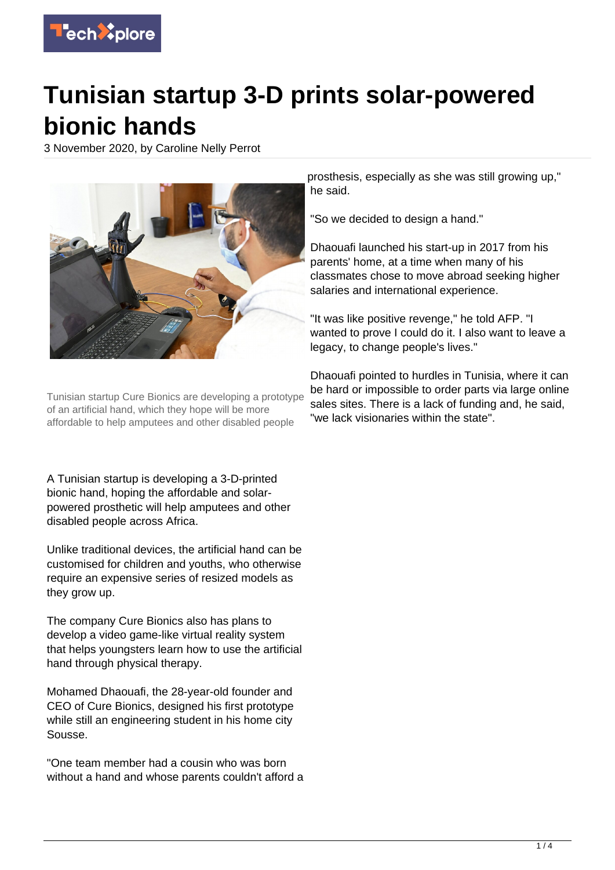

## **Tunisian startup 3-D prints solar-powered bionic hands**

3 November 2020, by Caroline Nelly Perrot



Tunisian startup Cure Bionics are developing a prototype of an artificial hand, which they hope will be more affordable to help amputees and other disabled people

A Tunisian startup is developing a 3-D-printed bionic hand, hoping the affordable and solarpowered prosthetic will help amputees and other disabled people across Africa.

Unlike traditional devices, the artificial hand can be customised for children and youths, who otherwise require an expensive series of resized models as they grow up.

The company Cure Bionics also has plans to develop a video game-like virtual reality system that helps youngsters learn how to use the artificial hand through physical therapy.

Mohamed Dhaouafi, the 28-year-old founder and CEO of Cure Bionics, designed his first prototype while still an engineering student in his home city Sousse.

"One team member had a cousin who was born without a hand and whose parents couldn't afford a

prosthesis, especially as she was still growing up," he said.

"So we decided to design a hand."

Dhaouafi launched his start-up in 2017 from his parents' home, at a time when many of his classmates chose to move abroad seeking higher salaries and international experience.

"It was like positive revenge," he told AFP. "I wanted to prove I could do it. I also want to leave a legacy, to change people's lives."

Dhaouafi pointed to hurdles in Tunisia, where it can be hard or impossible to order parts via large online sales sites. There is a lack of funding and, he said, "we lack visionaries within the state".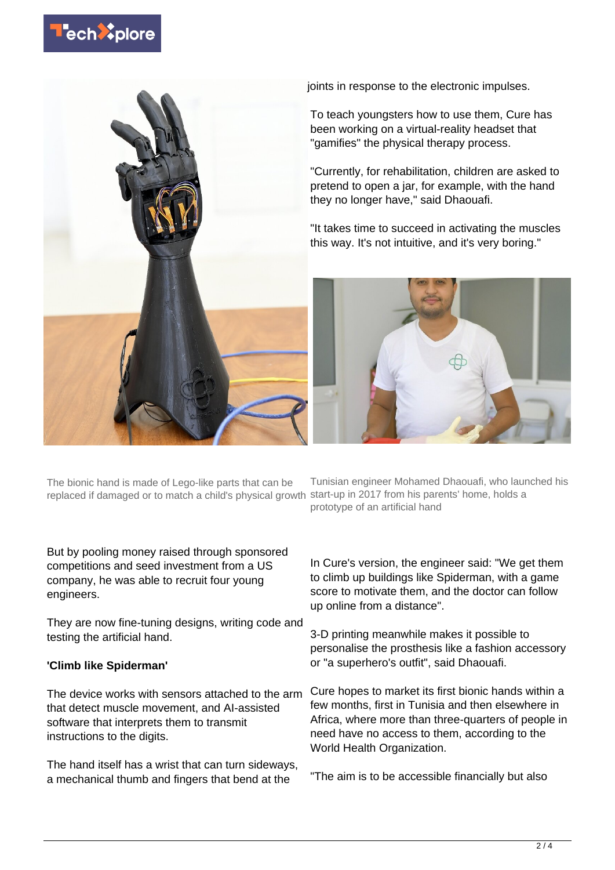



joints in response to the electronic impulses.

To teach youngsters how to use them, Cure has been working on a virtual-reality headset that "gamifies" the physical therapy process.

"Currently, for rehabilitation, children are asked to pretend to open a jar, for example, with the hand they no longer have," said Dhaouafi.

"It takes time to succeed in activating the muscles this way. It's not intuitive, and it's very boring."



The bionic hand is made of Lego-like parts that can be replaced if damaged or to match a child's physical growth

But by pooling money raised through sponsored competitions and seed investment from a US company, he was able to recruit four young engineers.

They are now fine-tuning designs, writing code and testing the artificial hand.

## **'Climb like Spiderman'**

The device works with sensors attached to the arm that detect muscle movement, and AI-assisted software that interprets them to transmit instructions to the digits.

The hand itself has a wrist that can turn sideways, a mechanical thumb and fingers that bend at the

Tunisian engineer Mohamed Dhaouafi, who launched his start-up in 2017 from his parents' home, holds a prototype of an artificial hand

In Cure's version, the engineer said: "We get them to climb up buildings like Spiderman, with a game score to motivate them, and the doctor can follow up online from a distance".

3-D printing meanwhile makes it possible to personalise the prosthesis like a fashion accessory or "a superhero's outfit", said Dhaouafi.

Cure hopes to market its first bionic hands within a few months, first in Tunisia and then elsewhere in Africa, where more than three-quarters of people in need have no access to them, according to the World Health Organization.

"The aim is to be accessible financially but also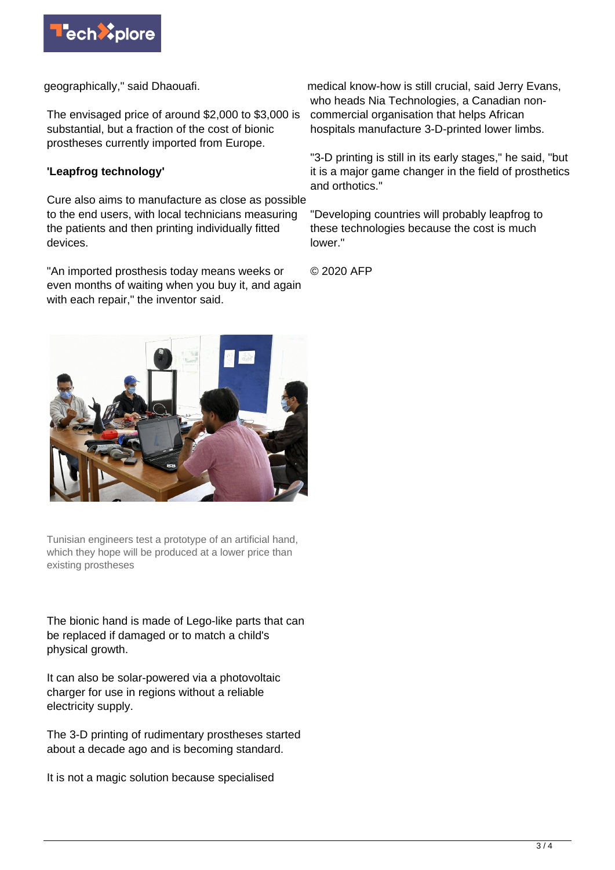

geographically," said Dhaouafi.

The envisaged price of around \$2,000 to \$3,000 is substantial, but a fraction of the cost of bionic prostheses currently imported from Europe.

## **'Leapfrog technology'**

Cure also aims to manufacture as close as possible to the end users, with local technicians measuring the patients and then printing individually fitted devices.

"An imported prosthesis today means weeks or even months of waiting when you buy it, and again with each repair," the inventor said.

medical know-how is still crucial, said Jerry Evans, who heads Nia Technologies, a Canadian noncommercial organisation that helps African hospitals manufacture 3-D-printed lower limbs.

"3-D printing is still in its early stages," he said, "but it is a major game changer in the field of prosthetics and orthotics."

"Developing countries will probably leapfrog to these technologies because the cost is much lower."

© 2020 AFP



Tunisian engineers test a prototype of an artificial hand, which they hope will be produced at a lower price than existing prostheses

The bionic hand is made of Lego-like parts that can be replaced if damaged or to match a child's physical growth.

It can also be solar-powered via a photovoltaic charger for use in regions without a reliable electricity supply.

The 3-D printing of rudimentary prostheses started about a decade ago and is becoming standard.

It is not a magic solution because specialised